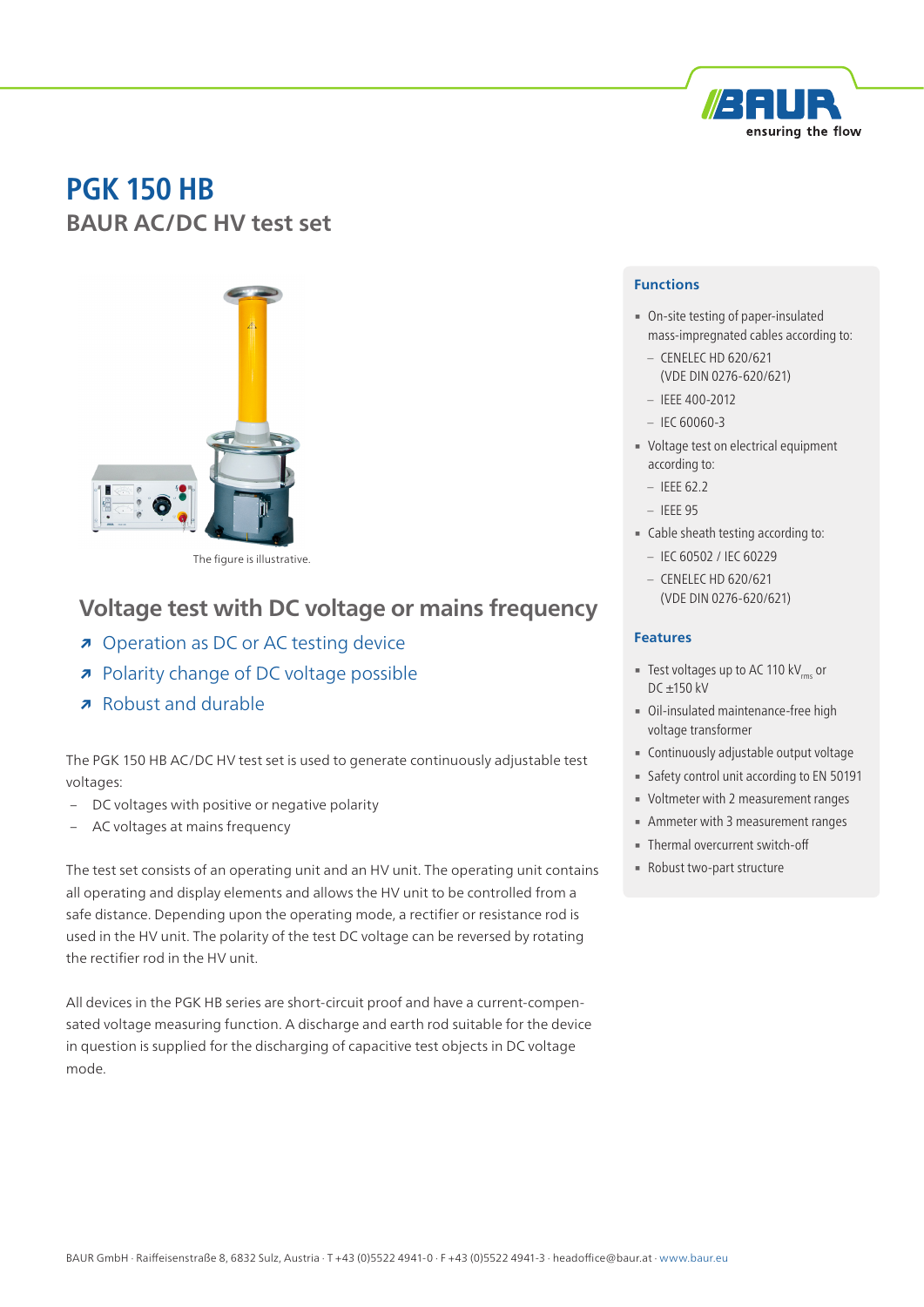

# **PGK 150 HB BAUR AC/DC HV test set**



The figure is illustrative.

## **Voltage test with DC voltage or mains frequency**

- **↗** Operation as DC or AC testing device
- **↗** Polarity change of DC voltage possible
- **↗** Robust and durable

The PGK 150 HB AC/DC HV test set is used to generate continuously adjustable test voltages:

- DC voltages with positive or negative polarity
- AC voltages at mains frequency

The test set consists of an operating unit and an HV unit. The operating unit contains all operating and display elements and allows the HV unit to be controlled from a safe distance. Depending upon the operating mode, a rectifier or resistance rod is used in the HV unit. The polarity of the test DC voltage can be reversed by rotating the rectifier rod in the HV unit.

All devices in the PGK HB series are short-circuit proof and have a current-compensated voltage measuring function. A discharge and earth rod suitable for the device in question is supplied for the discharging of capacitive test objects in DC voltage mode.

#### **Functions**

- On-site testing of paper-insulated mass-impregnated cables according to:
	- CENELEC HD 620/621 (VDE DIN 0276-620/621)
- IEEE 400-2012
- $-$  IEC 60060-3
- Voltage test on electrical equipment according to:
	- $-$  IEEE 62.2
	- IEEE 95
- Cable sheath testing according to:
	- IEC 60502 / IEC 60229
	- CENELEC HD 620/621 (VDE DIN 0276-620/621)

#### **Features**

- **EXECUTE:** Test voltages up to AC 110 kV<sub>rms</sub> or DC ±150 kV
- Oil-insulated maintenance-free high voltage transformer
- **Continuously adjustable output voltage**
- **Example 1** Safety control unit according to EN 50191
- Voltmeter with 2 measurement ranges
- **EXECUTE:** Ammeter with 3 measurement ranges
- **Thermal overcurrent switch-off**
- Robust two-part structure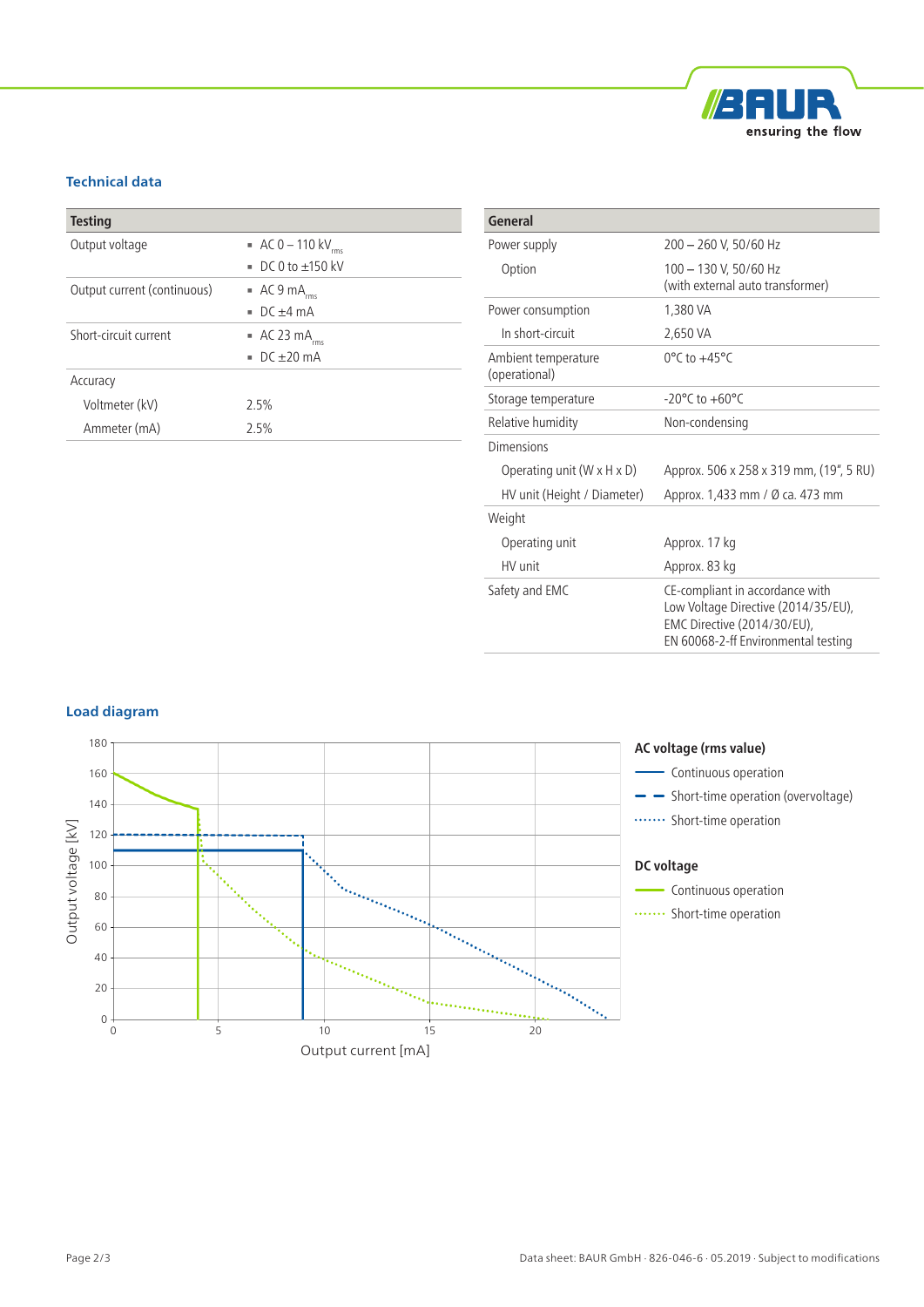

### **Technical data**

| <b>Testing</b>              |                                        |
|-----------------------------|----------------------------------------|
| Output voltage              | $AC 0 - 110 kV_{rms}$                  |
|                             | DC 0 to $\pm$ 150 kV<br>m.             |
| Output current (continuous) | $\blacksquare$ AC 9 mA <sub>rms</sub>  |
|                             | $DC + 4 mA$<br>н.                      |
| Short-circuit current       | $\blacksquare$ AC 23 mA <sub>rms</sub> |
|                             | $\sqrt{C}$ DC +20 mA                   |
| Accuracy                    |                                        |
| Voltmeter (kV)              | 2.5%                                   |
| Ammeter (mA)                | 2.5%                                   |

| General                                |                                                                                                                                              |
|----------------------------------------|----------------------------------------------------------------------------------------------------------------------------------------------|
| Power supply                           | 200 - 260 V, 50/60 Hz                                                                                                                        |
| Option                                 | 100 - 130 V, 50/60 Hz<br>(with external auto transformer)                                                                                    |
| Power consumption                      | 1,380 VA                                                                                                                                     |
| In short-circuit                       | 2,650 VA                                                                                                                                     |
| Ambient temperature<br>(operational)   | $0^{\circ}$ C to $+45^{\circ}$ C                                                                                                             |
| Storage temperature                    | $-20^{\circ}$ C to $+60^{\circ}$ C                                                                                                           |
| Relative humidity                      | Non-condensing                                                                                                                               |
| Dimensions                             |                                                                                                                                              |
| Operating unit $(W \times H \times D)$ | Approx. 506 x 258 x 319 mm, (19", 5 RU)                                                                                                      |
| HV unit (Height / Diameter)            | Approx. 1,433 mm / Ø ca. 473 mm                                                                                                              |
| Weight                                 |                                                                                                                                              |
| Operating unit                         | Approx. 17 kg                                                                                                                                |
| HV unit                                | Approx. 83 kg                                                                                                                                |
| Safety and EMC                         | CE-compliant in accordance with<br>Low Voltage Directive (2014/35/EU),<br>EMC Directive (2014/30/EU),<br>EN 60068-2-ff Environmental testing |

#### **Load diagram**